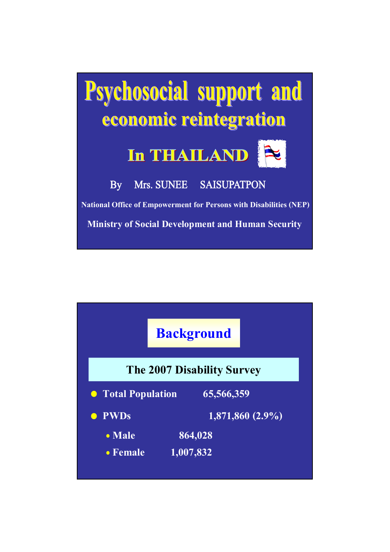

|                    | <b>Background</b>                 |
|--------------------|-----------------------------------|
|                    | <b>The 2007 Disability Survey</b> |
| • Total Population | 65,566,359                        |
| <b>PWDs</b>        | 1,871,860 (2.9%)                  |
| $\bullet$ Male     | 864,028                           |
| $\bullet$ Female   | 1,007,832                         |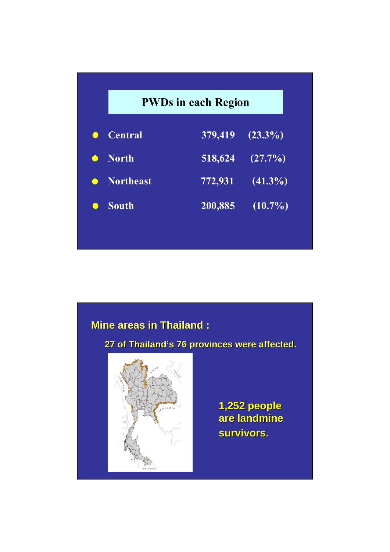|           | <b>PWDs in each Region</b> |         |            |
|-----------|----------------------------|---------|------------|
| $\bullet$ | <b>Central</b>             | 379,419 | $(23.3\%)$ |
| $\bullet$ | <b>North</b>               | 518,624 | $(27.7\%)$ |
| $\bullet$ | <b>Northeast</b>           | 772,931 | $(41.3\%)$ |
| $\bullet$ | <b>South</b>               | 200,885 | $(10.7\%)$ |

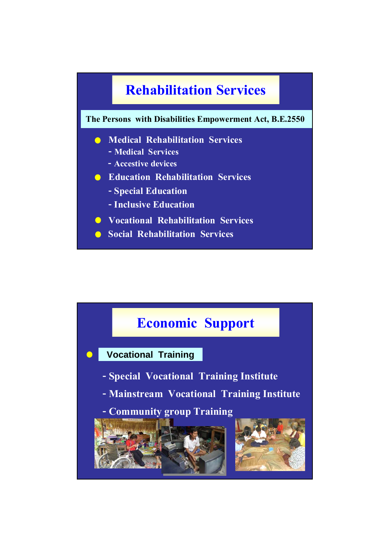

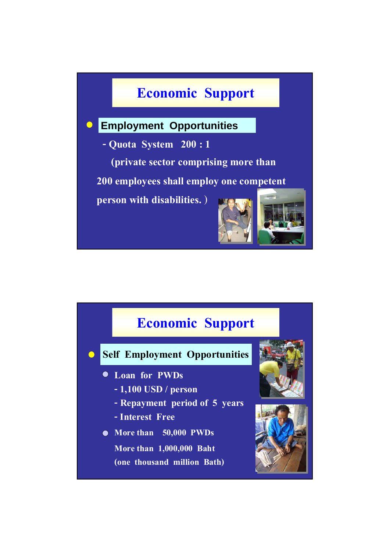### **Economic Support**

### **Employment Opportunities**  $\bullet$

**- Quota System 200 : 1**

**(private sector comprising more than** 

**200 employees shall employ one competent** 

**person with disabilities.** )



# **Economic Support Self Employment Opportunities - 1,100 USD / person Loan for PWDs - Repayment period of 5 years - Interest Free More than 50,000 PWDs More than 1,000,000 Baht (one thousand million Bath)**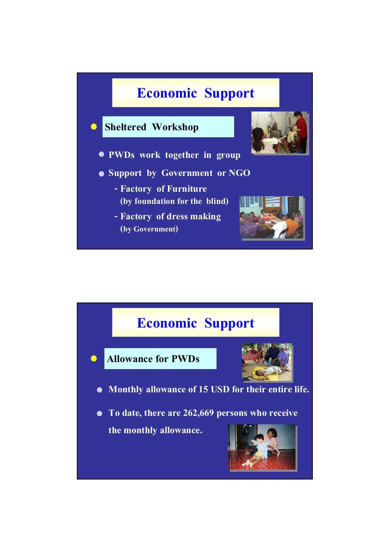

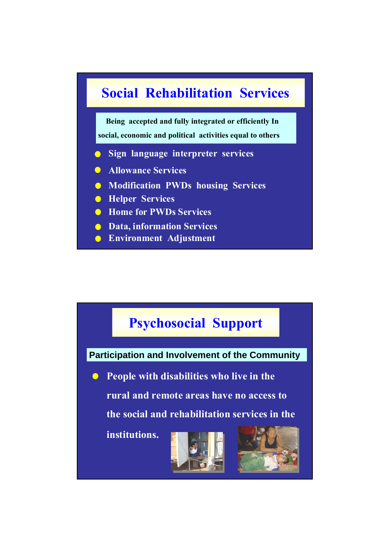

**Being accepted and fully integrated or efficiently In social, economic and political activities equal to others** 

- **Sign language interpreter services**
- **Allowance Services**
- **Modification PWDs housing Services**
- **Helper Services**
- **Home for PWDs Services**
- **C** Data, information Services
- **Environment Adjustment**

### **Psychosocial Support**

**Participation and Involvement of the Community**

**People with disabilities who live in the** 

**rural and remote areas have no access to** 

**the social and rehabilitation services in the** 

**institutions.**



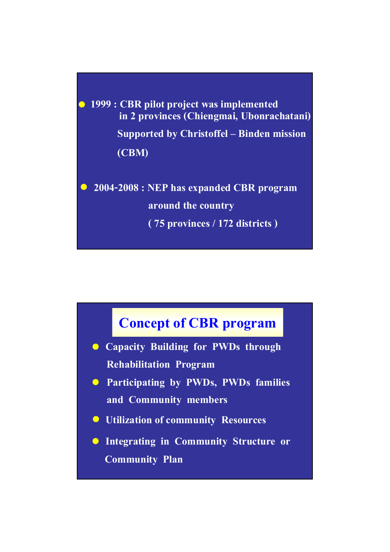**1999 : CBR pilot project was implemented Supported by Christoffel – Binden mission (CBM) in 2 provinces (Chiengmai, Ubonrachatani)**

**2004-2008 : NEP has expanded CBR program around the country ( 75 provinces / 172 districts )** 



- **Capacity Building for PWDs through Rehabilitation Program**
- **Participating by PWDs, PWDs families and Community members**
- **Utilization of community Resources**
- **Integrating in Community Structure or Community Plan**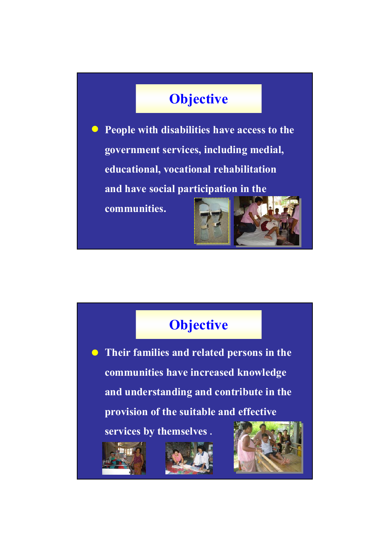## **Objective**

**People with disabilities have access to the government services, including medial, educational, vocational rehabilitation and have social participation in the communities.**



### **Objective**

**Their families and related persons in the communities have increased knowledge and understanding and contribute in the provision of the suitable and effective** 

**services by themselves .**





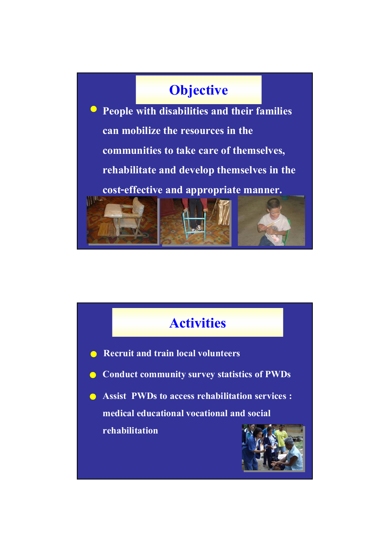### **Objective**

**People with disabilities and their families can mobilize the resources in the communities to take care of themselves, rehabilitate and develop themselves in the cost-effective and appropriate manner. ITEL** 

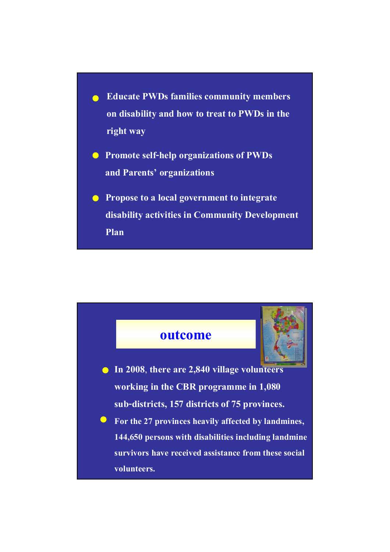- **Educate PWDs families community members on disability and how to treat to PWDs in the right way**
- **Promote self-help organizations of PWDs and Parents' organizations**
- **Propose to a local government to integrate disability activities in Community Development Plan**

### **outcome**



- **In 2008**, **there are 2,840 village volunteers working in the CBR programme in 1,080 sub-districts, 157 districts of 75 provinces.**
- **For the 27 provinces heavily affected by landmines,**   $\bullet$ **144,650 persons with disabilities including landmine survivors have received assistance from these social volunteers.**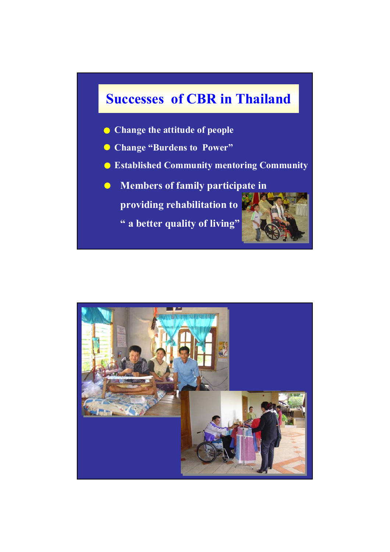### **Successes of CBR in Thailand**

- **Change the attitude of people**
- **Change "Burdens to Power"**
- **Established Community mentoring Community**
- **Members of family participate in**   $\bullet$ **providing rehabilitation to**